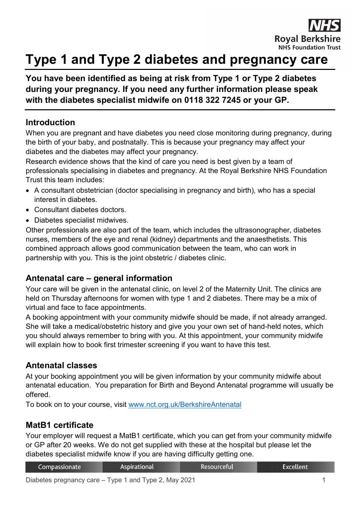

# **Type 1 and Type 2 diabetes and pregnancy care**

# **You have been identified as being at risk from Type 1 or Type 2 diabetes during your pregnancy. If you need any further information please speak with the diabetes specialist midwife on 0118 322 7245 or your GP.**

#### **Introduction**

When you are pregnant and have diabetes you need close monitoring during pregnancy, during the birth of your baby, and postnatally. This is because your pregnancy may affect your diabetes and the diabetes may affect your pregnancy.

Research evidence shows that the kind of care you need is best given by a team of professionals specialising in diabetes and pregnancy. At the Royal Berkshire NHS Foundation Trust this team includes:

- A consultant obstetrician (doctor specialising in pregnancy and birth), who has a special interest in diabetes.
- Consultant diabetes doctors.
- Diabetes specialist midwives.

Other professionals are also part of the team, which includes the ultrasonographer, diabetes nurses, members of the eye and renal (kidney) departments and the anaesthetists. This combined approach allows good communication between the team, who can work in partnership with you. This is the joint obstetric / diabetes clinic.

# **Antenatal care – general information**

Your care will be given in the antenatal clinic, on level 2 of the Maternity Unit. The clinics are held on Thursday afternoons for women with type 1 and 2 diabetes. There may be a mix of virtual and face to face appointments.

A booking appointment with your community midwife should be made, if not already arranged. She will take a medical/obstetric history and give you your own set of hand-held notes, which you should always remember to bring with you. At this appointment, your community midwife will explain how to book first trimester screening if you want to have this test.

# **Antenatal classes**

At your booking appointment you will be given information by your community midwife about antenatal education. You preparation for Birth and Beyond Antenatal programme will usually be offered.

To book on to your course, visit [www.nct.org.uk/BerkshireAntenatal](http://www.nct.org.uk/BerkshireAntenatal)

# **MatB1 certificate**

Your employer will request a MatB1 certificate, which you can get from your community midwife or GP after 20 weeks. We do not get supplied with these at the hospital but please let the diabetes specialist midwife know if you are having difficulty getting one.

| Compassionate | Aspirational | Resourceful' | Excellent |
|---------------|--------------|--------------|-----------|
|               |              |              |           |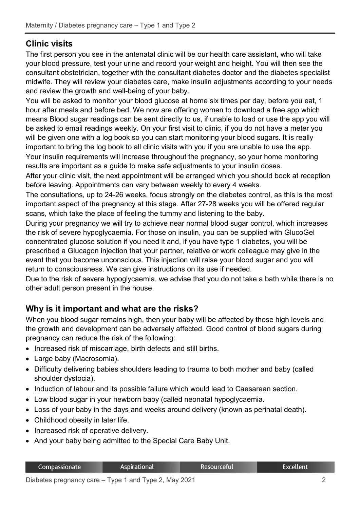# **Clinic visits**

The first person you see in the antenatal clinic will be our health care assistant, who will take your blood pressure, test your urine and record your weight and height. You will then see the consultant obstetrician, together with the consultant diabetes doctor and the diabetes specialist midwife. They will review your diabetes care, make insulin adjustments according to your needs and review the growth and well-being of your baby.

You will be asked to monitor your blood glucose at home six times per day, before you eat, 1 hour after meals and before bed. We now are offering women to download a free app which means Blood sugar readings can be sent directly to us, if unable to load or use the app you will be asked to email readings weekly. On your first visit to clinic, if you do not have a meter you will be given one with a log book so you can start monitoring your blood sugars. It is really important to bring the log book to all clinic visits with you if you are unable to use the app. Your insulin requirements will increase throughout the pregnancy, so your home monitoring results are important as a guide to make safe adjustments to your insulin doses.

After your clinic visit, the next appointment will be arranged which you should book at reception before leaving. Appointments can vary between weekly to every 4 weeks.

The consultations, up to 24-26 weeks, focus strongly on the diabetes control, as this is the most important aspect of the pregnancy at this stage. After 27-28 weeks you will be offered regular scans, which take the place of feeling the tummy and listening to the baby.

During your pregnancy we will try to achieve near normal blood sugar control, which increases the risk of severe hypoglycaemia. For those on insulin, you can be supplied with GlucoGel concentrated glucose solution if you need it and, if you have type 1 diabetes, you will be prescribed a Glucagon injection that your partner, relative or work colleague may give in the event that you become unconscious. This injection will raise your blood sugar and you will return to consciousness. We can give instructions on its use if needed.

Due to the risk of severe hypoglycaemia, we advise that you do not take a bath while there is no other adult person present in the house.

# **Why is it important and what are the risks?**

When you blood sugar remains high, then your baby will be affected by those high levels and the growth and development can be adversely affected. Good control of blood sugars during pregnancy can reduce the risk of the following:

- Increased risk of miscarriage, birth defects and still births.
- Large baby (Macrosomia).
- Difficulty delivering babies shoulders leading to trauma to both mother and baby (called shoulder dystocia).
- Induction of labour and its possible failure which would lead to Caesarean section.
- Low blood sugar in your newborn baby (called neonatal hypoglycaemia.
- Loss of your baby in the days and weeks around delivery (known as perinatal death).
- Childhood obesity in later life.
- Increased risk of operative delivery.
- And your baby being admitted to the Special Care Baby Unit.

| Compassionate | Aspirational | <b>Resourceful</b> | Excellent |
|---------------|--------------|--------------------|-----------|
|               |              |                    |           |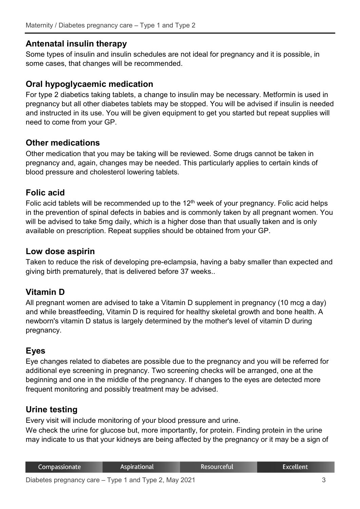#### **Antenatal insulin therapy**

Some types of insulin and insulin schedules are not ideal for pregnancy and it is possible, in some cases, that changes will be recommended.

#### **Oral hypoglycaemic medication**

For type 2 diabetics taking tablets, a change to insulin may be necessary. Metformin is used in pregnancy but all other diabetes tablets may be stopped. You will be advised if insulin is needed and instructed in its use. You will be given equipment to get you started but repeat supplies will need to come from your GP.

#### **Other medications**

Other medication that you may be taking will be reviewed. Some drugs cannot be taken in pregnancy and, again, changes may be needed. This particularly applies to certain kinds of blood pressure and cholesterol lowering tablets.

#### **Folic acid**

Folic acid tablets will be recommended up to the  $12<sup>th</sup>$  week of your pregnancy. Folic acid helps in the prevention of spinal defects in babies and is commonly taken by all pregnant women. You will be advised to take 5mg daily, which is a higher dose than that usually taken and is only available on prescription. Repeat supplies should be obtained from your GP.

#### **Low dose aspirin**

Taken to reduce the risk of developing pre-eclampsia, having a baby smaller than expected and giving birth prematurely, that is delivered before 37 weeks..

#### **Vitamin D**

All pregnant women are advised to take a Vitamin D supplement in pregnancy (10 mcg a day) and while breastfeeding, Vitamin D is required for healthy skeletal growth and bone health. A newborn's vitamin D status is largely determined by the mother's level of vitamin D during pregnancy.

#### **Eyes**

Eye changes related to diabetes are possible due to the pregnancy and you will be referred for additional eye screening in pregnancy. Two screening checks will be arranged, one at the beginning and one in the middle of the pregnancy. If changes to the eyes are detected more frequent monitoring and possibly treatment may be advised.

#### **Urine testing**

Every visit will include monitoring of your blood pressure and urine.

We check the urine for glucose but, more importantly, for protein. Finding protein in the urine may indicate to us that your kidneys are being affected by the pregnancy or it may be a sign of

| Compassionate | Aspirational | Resourceful | Excellent |
|---------------|--------------|-------------|-----------|
|               |              |             |           |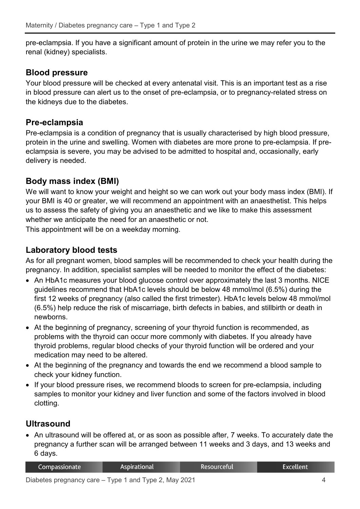pre-eclampsia. If you have a significant amount of protein in the urine we may refer you to the renal (kidney) specialists.

#### **Blood pressure**

Your blood pressure will be checked at every antenatal visit. This is an important test as a rise in blood pressure can alert us to the onset of pre-eclampsia, or to pregnancy-related stress on the kidneys due to the diabetes.

# **Pre-eclampsia**

Pre-eclampsia is a condition of pregnancy that is usually characterised by high blood pressure, protein in the urine and swelling. Women with diabetes are more prone to pre-eclampsia. If preeclampsia is severe, you may be advised to be admitted to hospital and, occasionally, early delivery is needed.

# **Body mass index (BMI)**

We will want to know your weight and height so we can work out your body mass index (BMI). If your BMI is 40 or greater, we will recommend an appointment with an anaesthetist. This helps us to assess the safety of giving you an anaesthetic and we like to make this assessment whether we anticipate the need for an anaesthetic or not.

This appointment will be on a weekday morning.

# **Laboratory blood tests**

As for all pregnant women, blood samples will be recommended to check your health during the pregnancy. In addition, specialist samples will be needed to monitor the effect of the diabetes:

- An HbA1c measures your blood glucose control over approximately the last 3 months. NICE guidelines recommend that HbA1c levels should be below 48 mmol/mol (6.5%) during the first 12 weeks of pregnancy (also called the first trimester). HbA1c levels below 48 mmol/mol (6.5%) help reduce the risk of miscarriage, birth defects in babies, and stillbirth or death in newborns.
- At the beginning of pregnancy, screening of your thyroid function is recommended, as problems with the thyroid can occur more commonly with diabetes. If you already have thyroid problems, regular blood checks of your thyroid function will be ordered and your medication may need to be altered.
- At the beginning of the pregnancy and towards the end we recommend a blood sample to check your kidney function.
- If your blood pressure rises, we recommend bloods to screen for pre-eclampsia, including samples to monitor your kidney and liver function and some of the factors involved in blood clotting.

# **Ultrasound**

• An ultrasound will be offered at, or as soon as possible after, 7 weeks. To accurately date the pregnancy a further scan will be arranged between 11 weeks and 3 days, and 13 weeks and 6 days.

| Compassionate ' | Aspirational | Resourceful' | Excellent |
|-----------------|--------------|--------------|-----------|
|-----------------|--------------|--------------|-----------|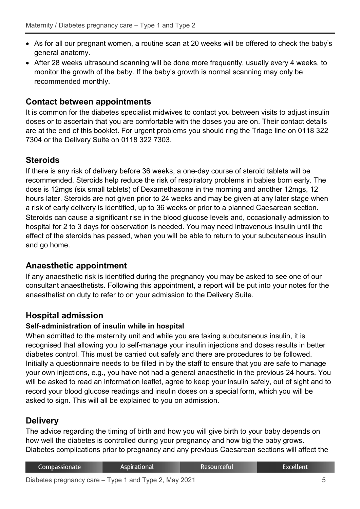- As for all our pregnant women, a routine scan at 20 weeks will be offered to check the baby's general anatomy.
- After 28 weeks ultrasound scanning will be done more frequently, usually every 4 weeks, to monitor the growth of the baby. If the baby's growth is normal scanning may only be recommended monthly.

#### **Contact between appointments**

It is common for the diabetes specialist midwives to contact you between visits to adjust insulin doses or to ascertain that you are comfortable with the doses you are on. Their contact details are at the end of this booklet. For urgent problems you should ring the Triage line on 0118 322 7304 or the Delivery Suite on 0118 322 7303.

# **Steroids**

If there is any risk of delivery before 36 weeks, a one-day course of steroid tablets will be recommended. Steroids help reduce the risk of respiratory problems in babies born early. The dose is 12mgs (six small tablets) of Dexamethasone in the morning and another 12mgs, 12 hours later. Steroids are not given prior to 24 weeks and may be given at any later stage when a risk of early delivery is identified, up to 36 weeks or prior to a planned Caesarean section. Steroids can cause a significant rise in the blood glucose levels and, occasionally admission to hospital for 2 to 3 days for observation is needed. You may need intravenous insulin until the effect of the steroids has passed, when you will be able to return to your subcutaneous insulin and go home.

# **Anaesthetic appointment**

If any anaesthetic risk is identified during the pregnancy you may be asked to see one of our consultant anaesthetists. Following this appointment, a report will be put into your notes for the anaesthetist on duty to refer to on your admission to the Delivery Suite.

# **Hospital admission**

#### **Self-administration of insulin while in hospital**

When admitted to the maternity unit and while you are taking subcutaneous insulin, it is recognised that allowing you to self-manage your insulin injections and doses results in better diabetes control. This must be carried out safely and there are procedures to be followed. Initially a questionnaire needs to be filled in by the staff to ensure that you are safe to manage your own injections, e.g., you have not had a general anaesthetic in the previous 24 hours. You will be asked to read an information leaflet, agree to keep your insulin safely, out of sight and to record your blood glucose readings and insulin doses on a special form, which you will be asked to sign. This will all be explained to you on admission.

# **Delivery**

The advice regarding the timing of birth and how you will give birth to your baby depends on how well the diabetes is controlled during your pregnancy and how big the baby grows. Diabetes complications prior to pregnancy and any previous Caesarean sections will affect the

| Compassionate | <b>Aspirational</b> | Resourceful | Excellent |
|---------------|---------------------|-------------|-----------|
|               |                     |             |           |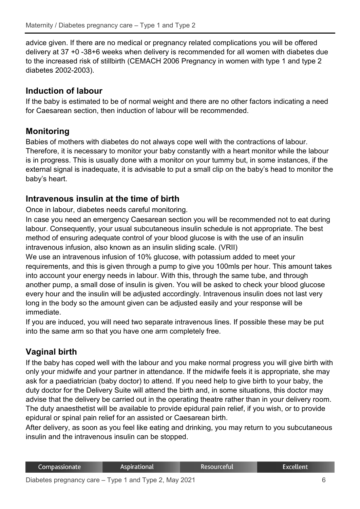advice given. If there are no medical or pregnancy related complications you will be offered delivery at 37 +0 -38+6 weeks when delivery is recommended for all women with diabetes due to the increased risk of stillbirth (CEMACH 2006 Pregnancy in women with type 1 and type 2 diabetes 2002-2003).

# **Induction of labour**

If the baby is estimated to be of normal weight and there are no other factors indicating a need for Caesarean section, then induction of labour will be recommended.

# **Monitoring**

Babies of mothers with diabetes do not always cope well with the contractions of labour. Therefore, it is necessary to monitor your baby constantly with a heart monitor while the labour is in progress. This is usually done with a monitor on your tummy but, in some instances, if the external signal is inadequate, it is advisable to put a small clip on the baby's head to monitor the baby's heart.

# **Intravenous insulin at the time of birth**

Once in labour, diabetes needs careful monitoring.

In case you need an emergency Caesarean section you will be recommended not to eat during labour. Consequently, your usual subcutaneous insulin schedule is not appropriate. The best method of ensuring adequate control of your blood glucose is with the use of an insulin intravenous infusion, also known as an insulin sliding scale. (VRII)

We use an intravenous infusion of 10% glucose, with potassium added to meet your requirements, and this is given through a pump to give you 100mls per hour. This amount takes into account your energy needs in labour. With this, through the same tube, and through another pump, a small dose of insulin is given. You will be asked to check your blood glucose every hour and the insulin will be adjusted accordingly. Intravenous insulin does not last very long in the body so the amount given can be adjusted easily and your response will be immediate.

If you are induced, you will need two separate intravenous lines. If possible these may be put into the same arm so that you have one arm completely free.

# **Vaginal birth**

If the baby has coped well with the labour and you make normal progress you will give birth with only your midwife and your partner in attendance. If the midwife feels it is appropriate, she may ask for a paediatrician (baby doctor) to attend. If you need help to give birth to your baby, the duty doctor for the Delivery Suite will attend the birth and, in some situations, this doctor may advise that the delivery be carried out in the operating theatre rather than in your delivery room. The duty anaesthetist will be available to provide epidural pain relief, if you wish, or to provide epidural or spinal pain relief for an assisted or Caesarean birth.

After delivery, as soon as you feel like eating and drinking, you may return to you subcutaneous insulin and the intravenous insulin can be stopped.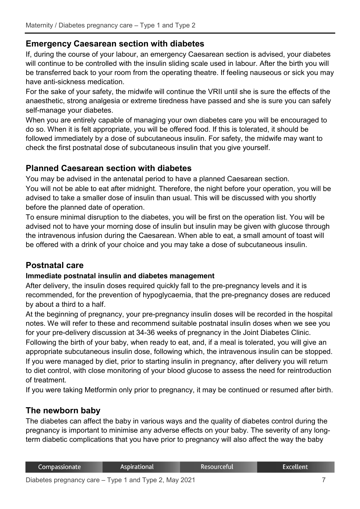# **Emergency Caesarean section with diabetes**

If, during the course of your labour, an emergency Caesarean section is advised, your diabetes will continue to be controlled with the insulin sliding scale used in labour. After the birth you will be transferred back to your room from the operating theatre. If feeling nauseous or sick you may have anti-sickness medication.

For the sake of your safety, the midwife will continue the VRII until she is sure the effects of the anaesthetic, strong analgesia or extreme tiredness have passed and she is sure you can safely self-manage your diabetes.

When you are entirely capable of managing your own diabetes care you will be encouraged to do so. When it is felt appropriate, you will be offered food. If this is tolerated, it should be followed immediately by a dose of subcutaneous insulin. For safety, the midwife may want to check the first postnatal dose of subcutaneous insulin that you give yourself.

# **Planned Caesarean section with diabetes**

You may be advised in the antenatal period to have a planned Caesarean section. You will not be able to eat after midnight. Therefore, the night before your operation, you will be advised to take a smaller dose of insulin than usual. This will be discussed with you shortly before the planned date of operation.

To ensure minimal disruption to the diabetes, you will be first on the operation list. You will be advised not to have your morning dose of insulin but insulin may be given with glucose through the intravenous infusion during the Caesarean. When able to eat, a small amount of toast will be offered with a drink of your choice and you may take a dose of subcutaneous insulin.

# **Postnatal care**

#### **Immediate postnatal insulin and diabetes management**

After delivery, the insulin doses required quickly fall to the pre-pregnancy levels and it is recommended, for the prevention of hypoglycaemia, that the pre-pregnancy doses are reduced by about a third to a half.

At the beginning of pregnancy, your pre-pregnancy insulin doses will be recorded in the hospital notes. We will refer to these and recommend suitable postnatal insulin doses when we see you for your pre-delivery discussion at 34-36 weeks of pregnancy in the Joint Diabetes Clinic.

Following the birth of your baby, when ready to eat, and, if a meal is tolerated, you will give an appropriate subcutaneous insulin dose, following which, the intravenous insulin can be stopped. If you were managed by diet, prior to starting insulin in pregnancy, after delivery you will return to diet control, with close monitoring of your blood glucose to assess the need for reintroduction of treatment.

If you were taking Metformin only prior to pregnancy, it may be continued or resumed after birth.

# **The newborn baby**

The diabetes can affect the baby in various ways and the quality of diabetes control during the pregnancy is important to minimise any adverse effects on your baby. The severity of any longterm diabetic complications that you have prior to pregnancy will also affect the way the baby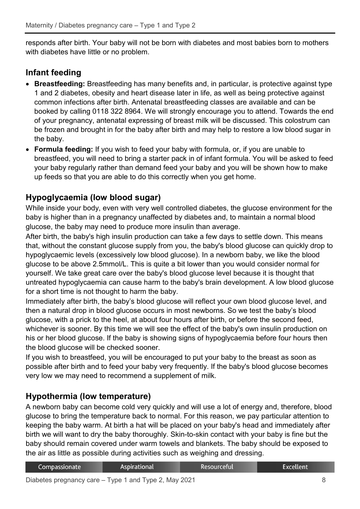responds after birth. Your baby will not be born with diabetes and most babies born to mothers with diabetes have little or no problem.

# **Infant feeding**

- **Breastfeeding:** Breastfeeding has many benefits and, in particular, is protective against type 1 and 2 diabetes, obesity and heart disease later in life, as well as being protective against common infections after birth. Antenatal breastfeeding classes are available and can be booked by calling 0118 322 8964. We will strongly encourage you to attend. Towards the end of your pregnancy, antenatal expressing of breast milk will be discussed. This colostrum can be frozen and brought in for the baby after birth and may help to restore a low blood sugar in the baby.
- **Formula feeding:** If you wish to feed your baby with formula, or, if you are unable to breastfeed, you will need to bring a starter pack in of infant formula. You will be asked to feed your baby regularly rather than demand feed your baby and you will be shown how to make up feeds so that you are able to do this correctly when you get home.

# **Hypoglycaemia (low blood sugar)**

While inside your body, even with very well controlled diabetes, the glucose environment for the baby is higher than in a pregnancy unaffected by diabetes and, to maintain a normal blood glucose, the baby may need to produce more insulin than average.

After birth, the baby's high insulin production can take a few days to settle down. This means that, without the constant glucose supply from you, the baby's blood glucose can quickly drop to hypoglycaemic levels (excessively low blood glucose). In a newborn baby, we like the blood glucose to be above 2.5mmol/L. This is quite a bit lower than you would consider normal for yourself. We take great care over the baby's blood glucose level because it is thought that untreated hypoglycaemia can cause harm to the baby's brain development. A low blood glucose for a short time is not thought to harm the baby.

Immediately after birth, the baby's blood glucose will reflect your own blood glucose level, and then a natural drop in blood glucose occurs in most newborns. So we test the baby's blood glucose, with a prick to the heel, at about four hours after birth, or before the second feed, whichever is sooner. By this time we will see the effect of the baby's own insulin production on his or her blood glucose. If the baby is showing signs of hypoglycaemia before four hours then the blood glucose will be checked sooner.

If you wish to breastfeed, you will be encouraged to put your baby to the breast as soon as possible after birth and to feed your baby very frequently. If the baby's blood glucose becomes very low we may need to recommend a supplement of milk.

# **Hypothermia (low temperature)**

A newborn baby can become cold very quickly and will use a lot of energy and, therefore, blood glucose to bring the temperature back to normal. For this reason, we pay particular attention to keeping the baby warm. At birth a hat will be placed on your baby's head and immediately after birth we will want to dry the baby thoroughly. Skin-to-skin contact with your baby is fine but the baby should remain covered under warm towels and blankets. The baby should be exposed to the air as little as possible during activities such as weighing and dressing.

| Compassionate | Aspirational | Resourceful | Excellent |
|---------------|--------------|-------------|-----------|
|               |              |             |           |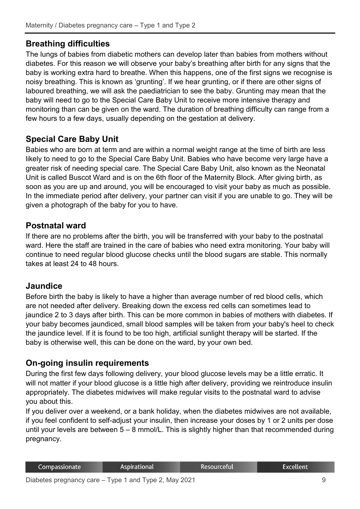# **Breathing difficulties**

The lungs of babies from diabetic mothers can develop later than babies from mothers without diabetes. For this reason we will observe your baby's breathing after birth for any signs that the baby is working extra hard to breathe. When this happens, one of the first signs we recognise is noisy breathing. This is known as 'grunting'. If we hear grunting, or if there are other signs of laboured breathing, we will ask the paediatrician to see the baby. Grunting may mean that the baby will need to go to the Special Care Baby Unit to receive more intensive therapy and monitoring than can be given on the ward. The duration of breathing difficulty can range from a few hours to a few days, usually depending on the gestation at delivery.

# **Special Care Baby Unit**

Babies who are born at term and are within a normal weight range at the time of birth are less likely to need to go to the Special Care Baby Unit. Babies who have become very large have a greater risk of needing special care. The Special Care Baby Unit, also known as the Neonatal Unit is called Buscot Ward and is on the 6th floor of the Maternity Block. After giving birth, as soon as you are up and around, you will be encouraged to visit your baby as much as possible. In the immediate period after delivery, your partner can visit if you are unable to go. They will be given a photograph of the baby for you to have.

# **Postnatal ward**

If there are no problems after the birth, you will be transferred with your baby to the postnatal ward. Here the staff are trained in the care of babies who need extra monitoring. Your baby will continue to need regular blood glucose checks until the blood sugars are stable. This normally takes at least 24 to 48 hours.

# **Jaundice**

Before birth the baby is likely to have a higher than average number of red blood cells, which are not needed after delivery. Breaking down the excess red cells can sometimes lead to jaundice 2 to 3 days after birth. This can be more common in babies of mothers with diabetes. If your baby becomes jaundiced, small blood samples will be taken from your baby's heel to check the jaundice level. If it is found to be too high, artificial sunlight therapy will be started. If the baby is otherwise well, this can be done on the ward, by your own bed.

# **On-going insulin requirements**

During the first few days following delivery, your blood glucose levels may be a little erratic. It will not matter if your blood glucose is a little high after delivery, providing we reintroduce insulin appropriately. The diabetes midwives will make regular visits to the postnatal ward to advise you about this.

If you deliver over a weekend, or a bank holiday, when the diabetes midwives are not available, if you feel confident to self-adjust your insulin, then increase your doses by 1 or 2 units per dose until your levels are between 5 – 8 mmol/L. This is slightly higher than that recommended during pregnancy.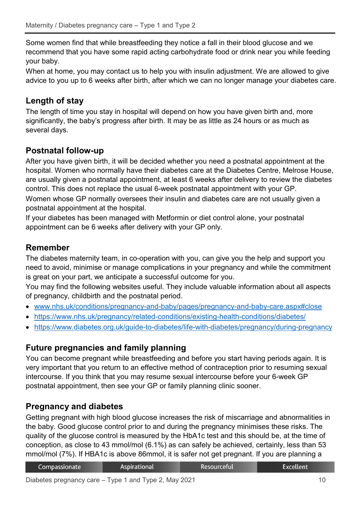Some women find that while breastfeeding they notice a fall in their blood glucose and we recommend that you have some rapid acting carbohydrate food or drink near you while feeding your baby.

When at home, you may contact us to help you with insulin adjustment. We are allowed to give advice to you up to 6 weeks after birth, after which we can no longer manage your diabetes care.

# **Length of stay**

The length of time you stay in hospital will depend on how you have given birth and, more significantly, the baby's progress after birth. It may be as little as 24 hours or as much as several days.

# **Postnatal follow-up**

After you have given birth, it will be decided whether you need a postnatal appointment at the hospital. Women who normally have their diabetes care at the Diabetes Centre, Melrose House, are usually given a postnatal appointment, at least 6 weeks after delivery to review the diabetes control. This does not replace the usual 6-week postnatal appointment with your GP. Women whose GP normally oversees their insulin and diabetes care are not usually given a postnatal appointment at the hospital.

If your diabetes has been managed with Metformin or diet control alone, your postnatal appointment can be 6 weeks after delivery with your GP only.

# **Remember**

The diabetes maternity team, in co-operation with you, can give you the help and support you need to avoid, minimise or manage complications in your pregnancy and while the commitment is great on your part, we anticipate a successful outcome for you.

You may find the following websites useful. They include valuable information about all aspects of pregnancy, childbirth and the postnatal period.

- [www.nhs.uk/conditions/pregnancy-and-baby/pages/pregnancy-and-baby-care.aspx#close](http://www.nhs.uk/conditions/pregnancy-and-baby/pages/pregnancy-and-baby-care.aspx#close)
- <https://www.nhs.uk/pregnancy/related-conditions/existing-health-conditions/diabetes/>
- <https://www.diabetes.org.uk/guide-to-diabetes/life-with-diabetes/pregnancy/during-pregnancy>

# **Future pregnancies and family planning**

You can become pregnant while breastfeeding and before you start having periods again. It is very important that you return to an effective method of contraception prior to resuming sexual intercourse. If you think that you may resume sexual intercourse before your 6-week GP postnatal appointment, then see your GP or family planning clinic sooner.

# **Pregnancy and diabetes**

Getting pregnant with high blood glucose increases the risk of miscarriage and abnormalities in the baby. Good glucose control prior to and during the pregnancy minimises these risks. The quality of the glucose control is measured by the HbA1c test and this should be, at the time of conception, as close to 43 mmol/mol (6.1%) as can safely be achieved, certainly, less than 53 mmol/mol (7%). If HBA1c is above 86mmol, it is safer not get pregnant. If you are planning a

| Compassionate | <b>Aspirational</b> | Resourceful | Excellent <sup>1</sup> |
|---------------|---------------------|-------------|------------------------|
|               |                     |             |                        |